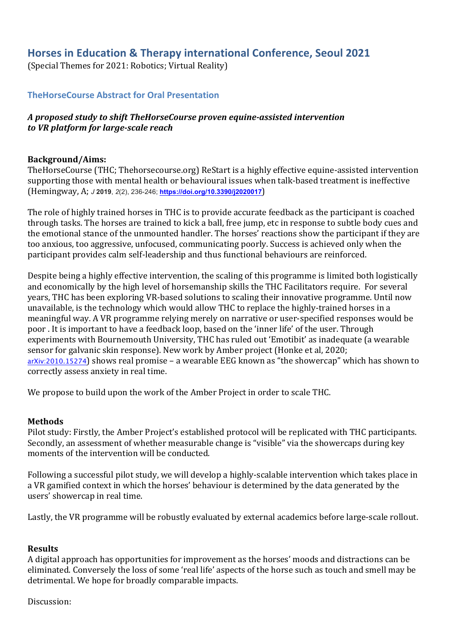# **Horses in Education & Therapy international Conference, Seoul 2021**

(Special Themes for 2021: Robotics; Virtual Reality)

## **TheHorseCourse Abstract for Oral Presentation**

## A proposed study to shift TheHorseCourse proven equine-assisted intervention *to VR platform for large-scale reach*

#### **Background/Aims:**

TheHorseCourse (THC; Thehorsecourse.org) ReStart is a highly effective equine-assisted intervention supporting those with mental health or behavioural issues when talk-based treatment is ineffective (Hemingway, A; *J* **2019**, *2*(2), 236-246; **https://doi.org/10.3390/j2020017**) 

The role of highly trained horses in THC is to provide accurate feedback as the participant is coached through tasks. The horses are trained to kick a ball, free jump, etc in response to subtle body cues and the emotional stance of the unmounted handler. The horses' reactions show the participant if they are too anxious, too aggressive, unfocused, communicating poorly. Success is achieved only when the participant provides calm self-leadership and thus functional behaviours are reinforced.

Despite being a highly effective intervention, the scaling of this programme is limited both logistically and economically by the high level of horsemanship skills the THC Facilitators require. For several years, THC has been exploring VR-based solutions to scaling their innovative programme. Until now unavailable, is the technology which would allow THC to replace the highly-trained horses in a meaningful way. A VR programme relying merely on narrative or user-specified responses would be poor . It is important to have a feedback loop, based on the 'inner life' of the user. Through experiments with Bournemouth University, THC has ruled out 'Emotibit' as inadequate (a wearable sensor for galvanic skin response). New work by Amber project (Honke et al, 2020;  $arXiv:2010.15274$ ) shows real promise – a wearable EEG known as "the showercap" which has shown to correctly assess anxiety in real time.

We propose to build upon the work of the Amber Project in order to scale THC.

#### **Methods**

Pilot study: Firstly, the Amber Project's established protocol will be replicated with THC participants. Secondly, an assessment of whether measurable change is "visible" via the showercaps during key moments of the intervention will be conducted

Following a successful pilot study, we will develop a highly-scalable intervention which takes place in a VR gamified context in which the horses' behaviour is determined by the data generated by the users' showercap in real time.

Lastly, the VR programme will be robustly evaluated by external academics before large-scale rollout.

#### **Results**

A digital approach has opportunities for improvement as the horses' moods and distractions can be eliminated. Conversely the loss of some 'real life' aspects of the horse such as touch and smell may be detrimental. We hope for broadly comparable impacts.